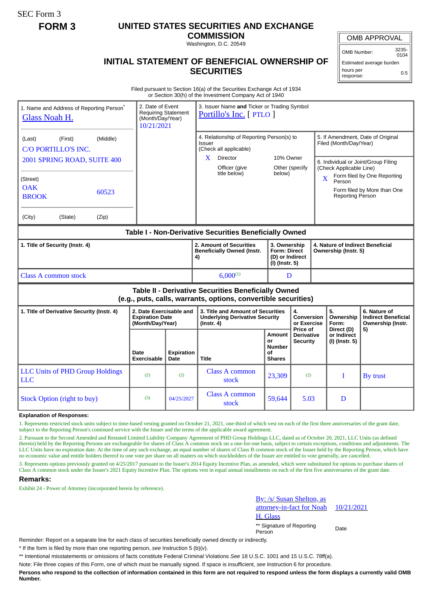SEC Form 3

# **FORM 3 UNITED STATES SECURITIES AND EXCHANGE**

**COMMISSION** Washington, D.C. 20549

OMB APPROVAL

OMB Number: 3235- 0104

0.5

Estimated average burden

hours per response:

## **INITIAL STATEMENT OF BENEFICIAL OWNERSHIP OF SECURITIES**

Filed pursuant to Section 16(a) of the Securities Exchange Act of 1934 or Section 30(h) of the Investment Company Act of 1940

| 1. Name and Address of Reporting Person <sup>®</sup><br>Glass Noah H.                                                 |         |       | 3. Issuer Name and Ticker or Trading Symbol<br>2. Date of Event<br><b>Requiring Statement</b><br>Portillo's Inc. [ PTLO ]<br>(Month/Day/Year)<br>10/21/2021 |                                                                               |                                                                                          |                                                                          |                                           |                                                                |                                                                                                                            |                                                                 |  |
|-----------------------------------------------------------------------------------------------------------------------|---------|-------|-------------------------------------------------------------------------------------------------------------------------------------------------------------|-------------------------------------------------------------------------------|------------------------------------------------------------------------------------------|--------------------------------------------------------------------------|-------------------------------------------|----------------------------------------------------------------|----------------------------------------------------------------------------------------------------------------------------|-----------------------------------------------------------------|--|
| (Middle)<br>(First)<br>(Last)<br>C/O PORTILLO'S INC.                                                                  |         |       |                                                                                                                                                             | 4. Relationship of Reporting Person(s) to<br>Issuer<br>(Check all applicable) |                                                                                          |                                                                          |                                           | 5. If Amendment, Date of Original<br>Filed (Month/Day/Year)    |                                                                                                                            |                                                                 |  |
| 2001 SPRING ROAD, SUITE 400                                                                                           |         |       |                                                                                                                                                             |                                                                               | X.<br><b>Director</b><br>Officer (give                                                   | 10% Owner<br>Other (specify                                              |                                           | 6. Individual or Joint/Group Filing<br>(Check Applicable Line) |                                                                                                                            |                                                                 |  |
| (Street)<br><b>OAK</b><br><b>BROOK</b>                                                                                | 60523   |       |                                                                                                                                                             |                                                                               | title below)                                                                             | below)                                                                   |                                           |                                                                | Form filed by One Reporting<br>$\overline{\mathbf{X}}$<br>Person<br>Form filed by More than One<br><b>Reporting Person</b> |                                                                 |  |
| (City)                                                                                                                | (State) | (Zip) |                                                                                                                                                             |                                                                               |                                                                                          |                                                                          |                                           |                                                                |                                                                                                                            |                                                                 |  |
| Table I - Non-Derivative Securities Beneficially Owned                                                                |         |       |                                                                                                                                                             |                                                                               |                                                                                          |                                                                          |                                           |                                                                |                                                                                                                            |                                                                 |  |
| 1. Title of Security (Instr. 4)                                                                                       |         |       |                                                                                                                                                             |                                                                               | 2. Amount of Securities<br><b>Beneficially Owned (Instr.</b><br>4)                       | 3. Ownership<br><b>Form: Direct</b><br>(D) or Indirect<br>(I) (Instr. 5) |                                           |                                                                | 4. Nature of Indirect Beneficial<br>Ownership (Instr. 5)                                                                   |                                                                 |  |
| <b>Class A common stock</b>                                                                                           |         |       |                                                                                                                                                             |                                                                               | $6,000^{(1)}$                                                                            | D                                                                        |                                           |                                                                |                                                                                                                            |                                                                 |  |
| Table II - Derivative Securities Beneficially Owned<br>(e.g., puts, calls, warrants, options, convertible securities) |         |       |                                                                                                                                                             |                                                                               |                                                                                          |                                                                          |                                           |                                                                |                                                                                                                            |                                                                 |  |
| 1. Title of Derivative Security (Instr. 4)                                                                            |         |       | 2. Date Exercisable and<br><b>Expiration Date</b><br>(Month/Day/Year)                                                                                       |                                                                               | 3. Title and Amount of Securities<br><b>Underlying Derivative Security</b><br>(Instr. 4) |                                                                          | 4.<br><b>Conversion</b><br>or Exercise    |                                                                | 5.<br>Ownership<br>Form:                                                                                                   | 6. Nature of<br><b>Indirect Beneficial</b><br>Ownership (Instr. |  |
|                                                                                                                       |         |       | Date<br>Exercisable                                                                                                                                         | <b>Expiration</b><br>Date                                                     | <b>Title</b>                                                                             | Amount<br>or<br><b>Number</b><br>οf<br><b>Shares</b>                     | Price of<br>Derivative<br><b>Security</b> |                                                                | Direct (D)<br>or Indirect<br>(I) (Instr. 5)                                                                                | 5)                                                              |  |
| <b>LLC Units of PHD Group Holdings</b><br><b>LLC</b>                                                                  |         |       | (2)                                                                                                                                                         | (2)                                                                           | Class A common<br>stock                                                                  | 23,309                                                                   | (2)                                       |                                                                | T                                                                                                                          | By trust                                                        |  |
| <b>Stock Option (right to buy)</b>                                                                                    |         |       | (3)                                                                                                                                                         | 04/25/2027                                                                    | <b>Class A common</b><br>stock                                                           | 59,644                                                                   | 5.03                                      |                                                                | D                                                                                                                          |                                                                 |  |

#### **Explanation of Responses:**

1. Represents restricted stock units subject to time-based vesting granted on October 21, 2021, one-third of which vest on each of the first three anniversaries of the grant date, subject to the Reporting Person's continued service with the Issuer and the terms of the applicable award agreement.

2. Pursuant to the Second Amended and Restated Limited Liability Company Agreement of PHD Group Holdings LLC, dated as of October 20, 2021, LLC Units (as defined therein) held by the Reporting Persons are exchangeable for shares of Class A common stock on a one-for-one basis, subject to certain exceptions, conditions and adjustments. The LLC Units have no expiration date. At the time of any such exchange, an equal number of shares of Class B common stock of the Issuer held by the Reporting Person, which have no economic value and entitle holders thereof to one vote per share on all matters on which stockholders of the Issuer are entitled to vote generally, are cancelled.

3. Represents options previously granted on 4/25/2017 pursuant to the Issuer's 2014 Equity Incentive Plan, as amended, which were substituted for options to purchase shares of Class A common stock under the Issuer's 2021 Equity Incentive Plan. The options vest in equal annual installments on each of the first five anniversaries of the grant date.

#### **Remarks:**

Exhibit 24 - Power of Attorney (incorporated herein by reference).



10/21/2021

\*\* Signature of Reporting Person Date

Reminder: Report on a separate line for each class of securities beneficially owned directly or indirectly.

\* If the form is filed by more than one reporting person, *see* Instruction 5 (b)(v).

\*\* Intentional misstatements or omissions of facts constitute Federal Criminal Violations *See* 18 U.S.C. 1001 and 15 U.S.C. 78ff(a).

Note: File three copies of this Form, one of which must be manually signed. If space is insufficient, *see* Instruction 6 for procedure.

**Persons who respond to the collection of information contained in this form are not required to respond unless the form displays a currently valid OMB Number.**